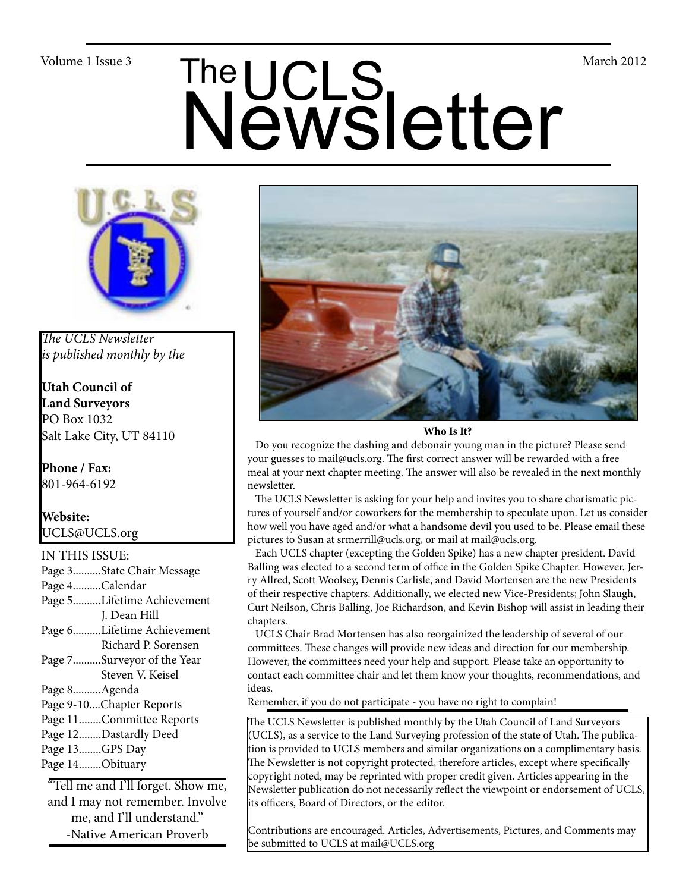# Volume 1 Issue 3<br>
Newsletter



*The UCLS Newsletter is published monthly by the*

**Utah Council of Land Surveyors** PO Box 1032 Salt Lake City, UT 84110

**Phone / Fax:**  801-964-6192

# **Website:** UCLS@UCLS.org

IN THIS ISSUE: Page 3..........State Chair Message Page 4..........Calendar Page 5..........Lifetime Achievement J. Dean Hill Page 6..........Lifetime Achievement Richard P. Sorensen Page 7..........Surveyor of the Year Steven V. Keisel Page 8..........Agenda Page 9-10....Chapter Reports Page 11........Committee Reports Page 12........Dastardly Deed Page 13........GPS Day Page 14........Obituary

"Tell me and I'll forget. Show me, and I may not remember. Involve me, and I'll understand." -Native American Proverb



**Who Is It?**

 Do you recognize the dashing and debonair young man in the picture? Please send your guesses to mail@ucls.org. The first correct answer will be rewarded with a free meal at your next chapter meeting. The answer will also be revealed in the next monthly newsletter.

 The UCLS Newsletter is asking for your help and invites you to share charismatic pictures of yourself and/or coworkers for the membership to speculate upon. Let us consider how well you have aged and/or what a handsome devil you used to be. Please email these pictures to Susan at srmerrill@ucls.org, or mail at mail@ucls.org.

 Each UCLS chapter (excepting the Golden Spike) has a new chapter president. David Balling was elected to a second term of office in the Golden Spike Chapter. However, Jerry Allred, Scott Woolsey, Dennis Carlisle, and David Mortensen are the new Presidents of their respective chapters. Additionally, we elected new Vice-Presidents; John Slaugh, Curt Neilson, Chris Balling, Joe Richardson, and Kevin Bishop will assist in leading their chapters.

 UCLS Chair Brad Mortensen has also reorgainized the leadership of several of our committees. These changes will provide new ideas and direction for our membership. However, the committees need your help and support. Please take an opportunity to contact each committee chair and let them know your thoughts, recommendations, and ideas.

Remember, if you do not participate - you have no right to complain!

The UCLS Newsletter is published monthly by the Utah Council of Land Surveyors (UCLS), as a service to the Land Surveying profession of the state of Utah. The publication is provided to UCLS members and similar organizations on a complimentary basis. The Newsletter is not copyright protected, therefore articles, except where specifically copyright noted, may be reprinted with proper credit given. Articles appearing in the Newsletter publication do not necessarily reflect the viewpoint or endorsement of UCLS, its officers, Board of Directors, or the editor.

Contributions are encouraged. Articles, Advertisements, Pictures, and Comments may be submitted to UCLS at mail@UCLS.org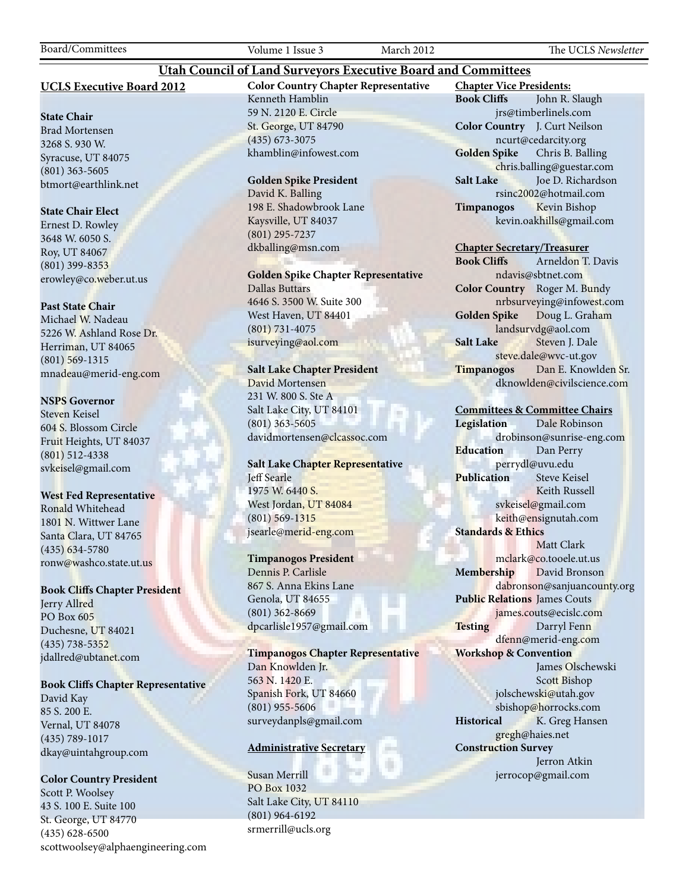### **UCLS Executive Board 2012**

### **State Chair**

Brad Mortensen 3268 S. 930 W. Syracuse, UT 84075 (801) 363-5605 btmort@earthlink.net

### **State Chair Elect**

Ernest D. Rowley 3648 W. 6050 S. Roy, UT 84067 (801) 399-8353 erowley@co.weber.ut.us

### **Past State Chair**

Michael W. Nadeau 5226 W. Ashland Rose Dr. Herriman, UT 84065 (801) 569-1315 mnadeau@merid-eng.com

### **NSPS Governor**

Steven Keisel 604 S. Blossom Circle Fruit Heights, UT 84037 (801) 512-4338 svkeisel@gmail.com

### **West Fed Representative**

Ronald Whitehead 1801 N. Wittwer Lane Santa Clara, UT 84765 (435) 634-5780 ronw@washco.state.ut.us

### **Book Cliffs Chapter President**

Jerry Allred PO Box 605 Duchesne, UT 84021 (435) 738-5352 jdallred@ubtanet.com

### **Book Cliffs Chapter Representative**

David Kay 85 S. 200 E. Vernal, UT 84078 (435) 789-1017 dkay@uintahgroup.com

### **Color Country President**

Scott P. Woolsey 43 S. 100 E. Suite 100 St. George, UT 84770 (435) 628-6500 scottwoolsey@alphaengineering.com **Color Country Chapter Representative** Kenneth Hamblin 59 N. 2120 E. Circle St. George, UT 84790 (435) 673-3075 khamblin@infowest.com

**Utah Council of Land Surveyors Executive Board and Committees**

### **Golden Spike President**

David K. Balling 198 E. Shadowbrook Lane Kaysville, UT 84037 (801) 295-7237 dkballing@msn.com

**Golden Spike Chapter Representative** Dallas Buttars 4646 S. 3500 W. Suite 300 West Haven, UT 84401

(801) 731-4075 isurveying@aol.com

### **Salt Lake Chapter President**

David Mortensen 231 W. 800 S. Ste A Salt Lake City, UT 84101 (801) 363-5605 davidmortensen@clcassoc.com

### **Salt Lake Chapter Representative** Jeff Searle 1975 W. 6440 S. West Jordan, UT 84084 (801) 569-1315 jsearle@merid-eng.com

### **Timpanogos President**

Dennis P. Carlisle 867 S. Anna Ekins Lane Genola, UT 84655 (801) 362-8669 dpcarlisle1957@gmail.com

**Timpanogos Chapter Representative** Dan Knowlden Jr. 563 N. 1420 E. Spanish Fork, UT 84660 (801) 955-5606 surveydanpls@gmail.com

### **Administrative Secretary**

Susan Merrill PO Box 1032 Salt Lake City, UT 84110 (801) 964-6192 srmerrill@ucls.org

**Chapter Vice Presidents: Book Cliffs** John R. Slaugh jrs@timberlinels.com **Color Country** J. Curt Neilson ncurt@cedarcity.org **Golden Spike** Chris B. Balling chris.balling@guestar.com **Salt Lake** Joe D. Richardson rsinc2002@hotmail.com **Timpanogos** Kevin Bishop kevin.oakhills@gmail.com

### **Chapter Secretary/Treasurer**

**Book Cliffs** Arneldon T. Davis ndavis@sbtnet.com **Color Country** Roger M. Bundy nrbsurveying@infowest.com **Golden Spike** Doug L. Graham landsurvdg@aol.com **Salt Lake** Steven J. Dale steve.dale@wvc-ut.gov **Timpanogos** Dan E. Knowlden Sr. dknowlden@civilscience.com

### **Committees & Committee Chairs**

**Legislation** Dale Robinson drobinson@sunrise-eng.com **Education** Dan Perry perrydl@uvu.edu **Publication** Steve Keisel Keith Russell svkeisel@gmail.com keith@ensignutah.com **Standards & Ethics** Matt Clark mclark@co.tooele.ut.us **Membership** David Bronson dabronson@sanjuancounty.org **Public Relations** James Couts james.couts@ecislc.com **Testing** Darryl Fenn dfenn@merid-eng.com **Workshop & Convention** James Olschewski Scott Bishop jolschewski@utah.gov sbishop@horrocks.com **Historical** K. Greg Hansen gregh@haies.net **Construction Survey** Jerron Atkin jerrocop@gmail.com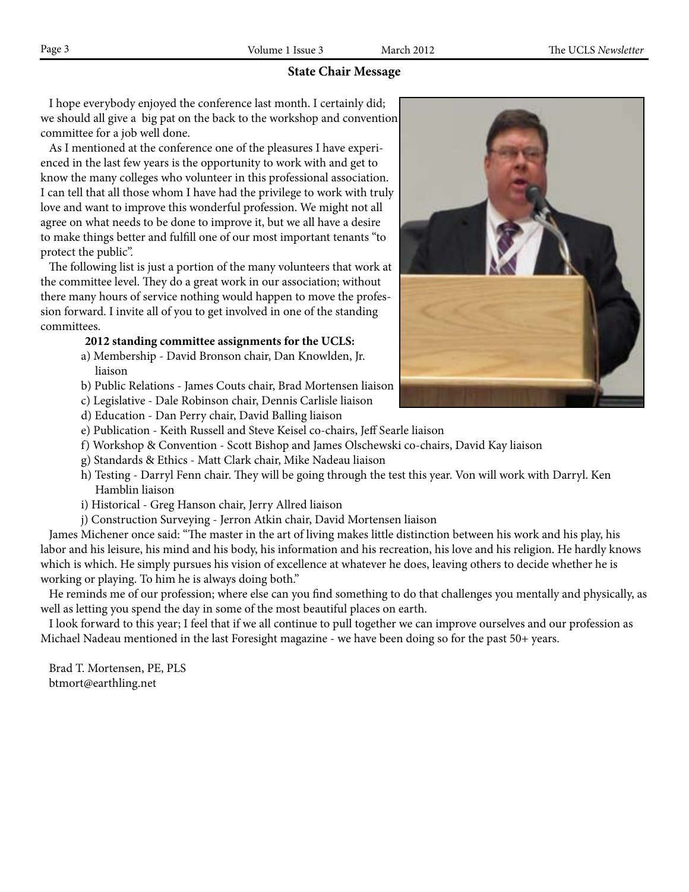### **State Chair Message**

 I hope everybody enjoyed the conference last month. I certainly did; we should all give a big pat on the back to the workshop and convention committee for a job well done.

 As I mentioned at the conference one of the pleasures I have experienced in the last few years is the opportunity to work with and get to know the many colleges who volunteer in this professional association. I can tell that all those whom I have had the privilege to work with truly love and want to improve this wonderful profession. We might not all agree on what needs to be done to improve it, but we all have a desire to make things better and fulfill one of our most important tenants "to protect the public".

 The following list is just a portion of the many volunteers that work at the committee level. They do a great work in our association; without there many hours of service nothing would happen to move the profession forward. I invite all of you to get involved in one of the standing committees.

### **2012 standing committee assignments for the UCLS:**

- a) Membership David Bronson chair, Dan Knowlden, Jr. liaison
- b) Public Relations James Couts chair, Brad Mortensen liaison
- c) Legislative Dale Robinson chair, Dennis Carlisle liaison
- d) Education Dan Perry chair, David Balling liaison
- e) Publication Keith Russell and Steve Keisel co-chairs, Jeff Searle liaison
- f) Workshop & Convention Scott Bishop and James Olschewski co-chairs, David Kay liaison
- g) Standards & Ethics Matt Clark chair, Mike Nadeau liaison
- h) Testing Darryl Fenn chair. They will be going through the test this year. Von will work with Darryl. Ken Hamblin liaison
- i) Historical Greg Hanson chair, Jerry Allred liaison
- j) Construction Surveying Jerron Atkin chair, David Mortensen liaison

 James Michener once said: "The master in the art of living makes little distinction between his work and his play, his labor and his leisure, his mind and his body, his information and his recreation, his love and his religion. He hardly knows which is which. He simply pursues his vision of excellence at whatever he does, leaving others to decide whether he is working or playing. To him he is always doing both."

 He reminds me of our profession; where else can you find something to do that challenges you mentally and physically, as well as letting you spend the day in some of the most beautiful places on earth.

 I look forward to this year; I feel that if we all continue to pull together we can improve ourselves and our profession as Michael Nadeau mentioned in the last Foresight magazine - we have been doing so for the past 50+ years.

 Brad T. Mortensen, PE, PLS btmort@earthling.net

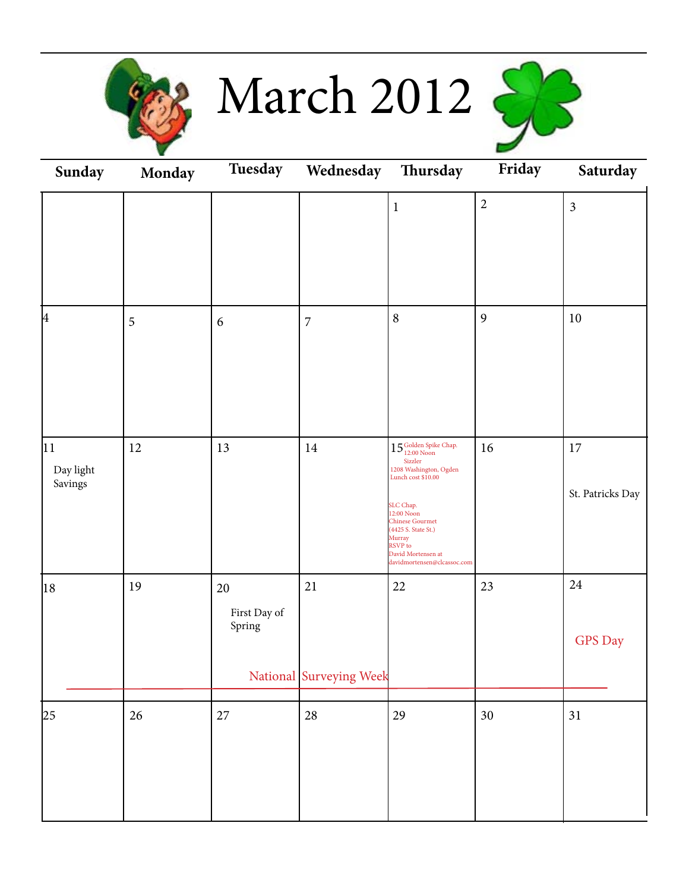

March 2012



| Sunday                               | Monday | Tuesday                      | Wednesday Thursday                |                                                                                                                                                                                                                                                                                | Friday     | Saturday                   |
|--------------------------------------|--------|------------------------------|-----------------------------------|--------------------------------------------------------------------------------------------------------------------------------------------------------------------------------------------------------------------------------------------------------------------------------|------------|----------------------------|
|                                      |        |                              |                                   | $\mathbf{1}$                                                                                                                                                                                                                                                                   | $\sqrt{2}$ | $\mathfrak{Z}$             |
| 4                                    | 5      | 6                            | $\overline{7}$                    | $\, 8$                                                                                                                                                                                                                                                                         | 9          | $10\,$                     |
| $ 11\rangle$<br>Day light<br>Savings | 12     | 13                           | $14\,$                            | $15^{\text{Golden Spike Chap.}}_{\text{12:00 Noon}}$<br>Sizzler<br>$1208$ Washington, Ogden<br>Lunch cost \$10.00<br>SLC Chap.<br>12:00 Noon<br><b>Chinese Gourmet</b><br>(4425 S. State St.)<br>Murray<br><b>RSVP</b> to<br>David Mortensen at<br>davidmortensen@clcassoc.com | 16         | $17\,$<br>St. Patricks Day |
| 18                                   | 19     | 20<br>First Day of<br>Spring | $21\,$<br>National Surveying Week | 22                                                                                                                                                                                                                                                                             | 23         | $24\,$<br><b>GPS</b> Day   |
| 25                                   | $26\,$ | $27\,$                       | 28                                | 29                                                                                                                                                                                                                                                                             | 30         | 31                         |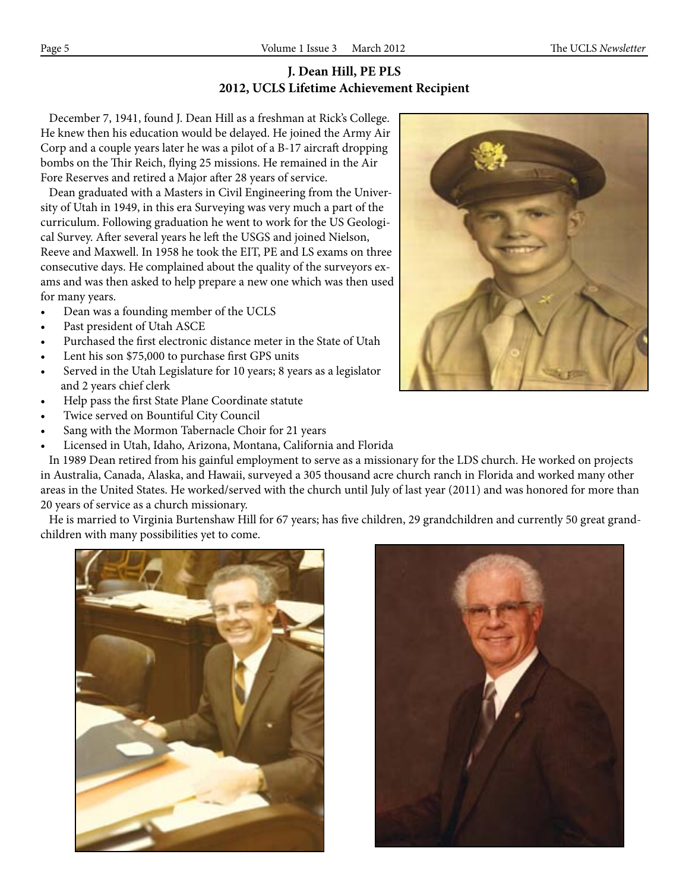# **J. Dean Hill, PE PLS 2012, UCLS Lifetime Achievement Recipient**

 December 7, 1941, found J. Dean Hill as a freshman at Rick's College. He knew then his education would be delayed. He joined the Army Air Corp and a couple years later he was a pilot of a B-17 aircraft dropping bombs on the Thir Reich, flying 25 missions. He remained in the Air Fore Reserves and retired a Major after 28 years of service.

 Dean graduated with a Masters in Civil Engineering from the University of Utah in 1949, in this era Surveying was very much a part of the curriculum. Following graduation he went to work for the US Geological Survey. After several years he left the USGS and joined Nielson, Reeve and Maxwell. In 1958 he took the EIT, PE and LS exams on three consecutive days. He complained about the quality of the surveyors exams and was then asked to help prepare a new one which was then used for many years.

- Dean was a founding member of the UCLS
- Past president of Utah ASCE
- Purchased the first electronic distance meter in the State of Utah
- Lent his son \$75,000 to purchase first GPS units
- Served in the Utah Legislature for 10 years; 8 years as a legislator and 2 years chief clerk
- Help pass the first State Plane Coordinate statute
- Twice served on Bountiful City Council
- Sang with the Mormon Tabernacle Choir for 21 years
- Licensed in Utah, Idaho, Arizona, Montana, California and Florida



 He is married to Virginia Burtenshaw Hill for 67 years; has five children, 29 grandchildren and currently 50 great grandchildren with many possibilities yet to come.





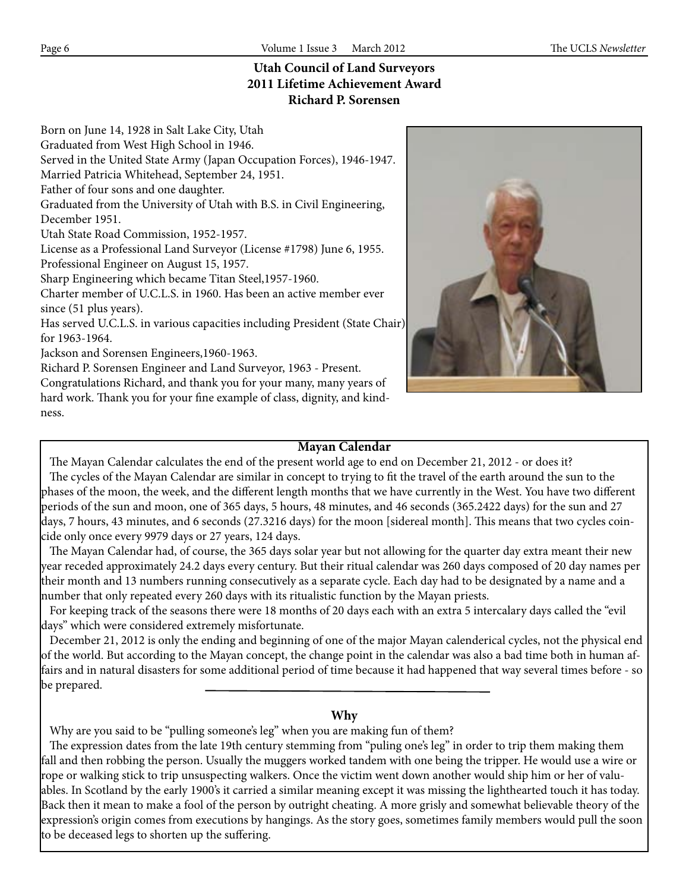# **Utah Council of Land Surveyors 2011 Lifetime Achievement Award Richard P. Sorensen**

Born on June 14, 1928 in Salt Lake City, Utah Graduated from West High School in 1946. Served in the United State Army (Japan Occupation Forces), 1946-1947. Married Patricia Whitehead, September 24, 1951. Father of four sons and one daughter. Graduated from the University of Utah with B.S. in Civil Engineering, December 1951. Utah State Road Commission, 1952-1957. License as a Professional Land Surveyor (License #1798) June 6, 1955. Professional Engineer on August 15, 1957. Sharp Engineering which became Titan Steel,1957-1960. Charter member of U.C.L.S. in 1960. Has been an active member ever since (51 plus years).

Has served U.C.L.S. in various capacities including President (State Chair) for 1963-1964.

Jackson and Sorensen Engineers,1960-1963.

Richard P. Sorensen Engineer and Land Surveyor, 1963 - Present.

Congratulations Richard, and thank you for your many, many years of hard work. Thank you for your fine example of class, dignity, and kindness.



### **Mayan Calendar**

 The Mayan Calendar calculates the end of the present world age to end on December 21, 2012 - or does it? The cycles of the Mayan Calendar are similar in concept to trying to fit the travel of the earth around the sun to the phases of the moon, the week, and the different length months that we have currently in the West. You have two different periods of the sun and moon, one of 365 days, 5 hours, 48 minutes, and 46 seconds (365.2422 days) for the sun and 27 days, 7 hours, 43 minutes, and 6 seconds (27.3216 days) for the moon [sidereal month]. This means that two cycles coincide only once every 9979 days or 27 years, 124 days.

 The Mayan Calendar had, of course, the 365 days solar year but not allowing for the quarter day extra meant their new year receded approximately 24.2 days every century. But their ritual calendar was 260 days composed of 20 day names per their month and 13 numbers running consecutively as a separate cycle. Each day had to be designated by a name and a number that only repeated every 260 days with its ritualistic function by the Mayan priests.

 For keeping track of the seasons there were 18 months of 20 days each with an extra 5 intercalary days called the "evil days" which were considered extremely misfortunate.

 December 21, 2012 is only the ending and beginning of one of the major Mayan calenderical cycles, not the physical end of the world. But according to the Mayan concept, the change point in the calendar was also a bad time both in human affairs and in natural disasters for some additional period of time because it had happened that way several times before - so be prepared.

### **Why**

Why are you said to be "pulling someone's leg" when you are making fun of them?

 The expression dates from the late 19th century stemming from "puling one's leg" in order to trip them making them fall and then robbing the person. Usually the muggers worked tandem with one being the tripper. He would use a wire or rope or walking stick to trip unsuspecting walkers. Once the victim went down another would ship him or her of valuables. In Scotland by the early 1900's it carried a similar meaning except it was missing the lighthearted touch it has today. Back then it mean to make a fool of the person by outright cheating. A more grisly and somewhat believable theory of the expression's origin comes from executions by hangings. As the story goes, sometimes family members would pull the soon to be deceased legs to shorten up the suffering.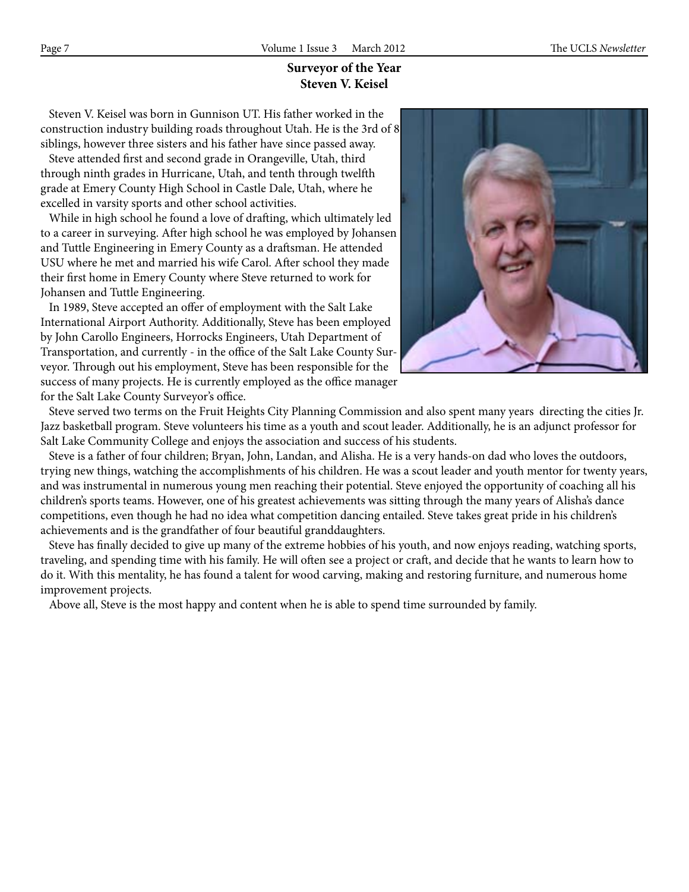# **Surveyor of the Year Steven V. Keisel**

 Steven V. Keisel was born in Gunnison UT. His father worked in the construction industry building roads throughout Utah. He is the 3rd of 8 siblings, however three sisters and his father have since passed away.

 Steve attended first and second grade in Orangeville, Utah, third through ninth grades in Hurricane, Utah, and tenth through twelfth grade at Emery County High School in Castle Dale, Utah, where he excelled in varsity sports and other school activities.

 While in high school he found a love of drafting, which ultimately led to a career in surveying. After high school he was employed by Johansen and Tuttle Engineering in Emery County as a draftsman. He attended USU where he met and married his wife Carol. After school they made their first home in Emery County where Steve returned to work for Johansen and Tuttle Engineering.

 In 1989, Steve accepted an offer of employment with the Salt Lake International Airport Authority. Additionally, Steve has been employed by John Carollo Engineers, Horrocks Engineers, Utah Department of Transportation, and currently - in the office of the Salt Lake County Surveyor. Through out his employment, Steve has been responsible for the success of many projects. He is currently employed as the office manager for the Salt Lake County Surveyor's office.



 Steve served two terms on the Fruit Heights City Planning Commission and also spent many years directing the cities Jr. Jazz basketball program. Steve volunteers his time as a youth and scout leader. Additionally, he is an adjunct professor for Salt Lake Community College and enjoys the association and success of his students.

 Steve is a father of four children; Bryan, John, Landan, and Alisha. He is a very hands-on dad who loves the outdoors, trying new things, watching the accomplishments of his children. He was a scout leader and youth mentor for twenty years, and was instrumental in numerous young men reaching their potential. Steve enjoyed the opportunity of coaching all his children's sports teams. However, one of his greatest achievements was sitting through the many years of Alisha's dance competitions, even though he had no idea what competition dancing entailed. Steve takes great pride in his children's achievements and is the grandfather of four beautiful granddaughters.

 Steve has finally decided to give up many of the extreme hobbies of his youth, and now enjoys reading, watching sports, traveling, and spending time with his family. He will often see a project or craft, and decide that he wants to learn how to do it. With this mentality, he has found a talent for wood carving, making and restoring furniture, and numerous home improvement projects.

Above all, Steve is the most happy and content when he is able to spend time surrounded by family.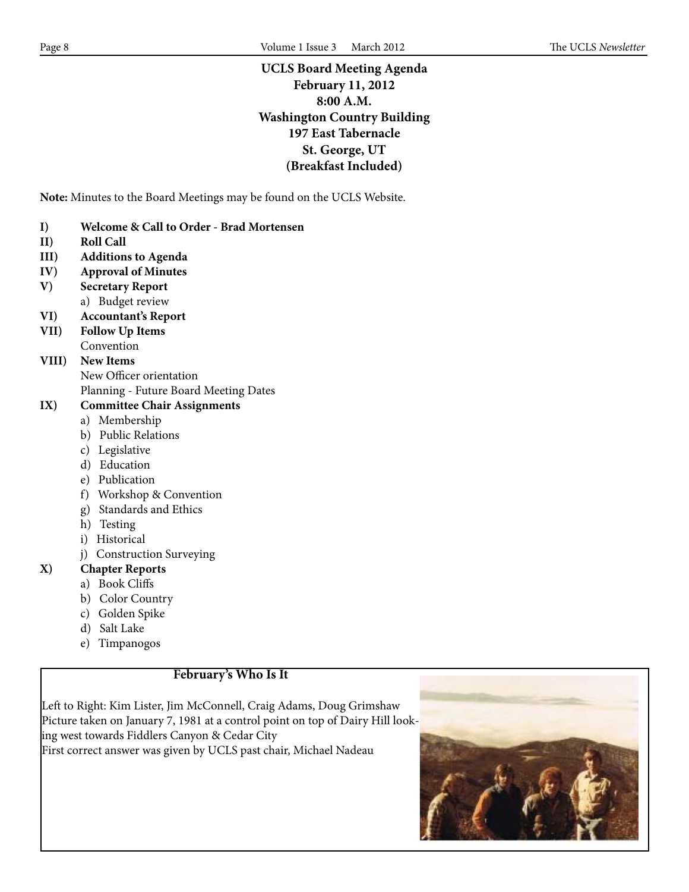# **UCLS Board Meeting Agenda February 11, 2012 8:00 A.M. Washington Country Building 197 East Tabernacle St. George, UT (Breakfast Included)**

**Note:** Minutes to the Board Meetings may be found on the UCLS Website.

- **I) Welcome & Call to Order Brad Mortensen**
- **II) Roll Call**
- **III) Additions to Agenda**
- **IV) Approval of Minutes**
- **V) Secretary Report** a) Budget review
- **VI) Accountant's Report**
- **VII) Follow Up Items** Convention

# **VIII) New Items**

New Officer orientation

Planning - Future Board Meeting Dates

# **IX) Committee Chair Assignments**

- a) Membership
- b) Public Relations
- c) Legislative
- d) Education
- e) Publication
- f) Workshop & Convention
- g) Standards and Ethics
- h) Testing
- i) Historical
- j) Construction Surveying

# **X) Chapter Reports**

- a) Book Cliffs
- b) Color Country
- c) Golden Spike
- d) Salt Lake
- e) Timpanogos

# **February's Who Is It**

Left to Right: Kim Lister, Jim McConnell, Craig Adams, Doug Grimshaw Picture taken on January 7, 1981 at a control point on top of Dairy Hill looking west towards Fiddlers Canyon & Cedar City First correct answer was given by UCLS past chair, Michael Nadeau

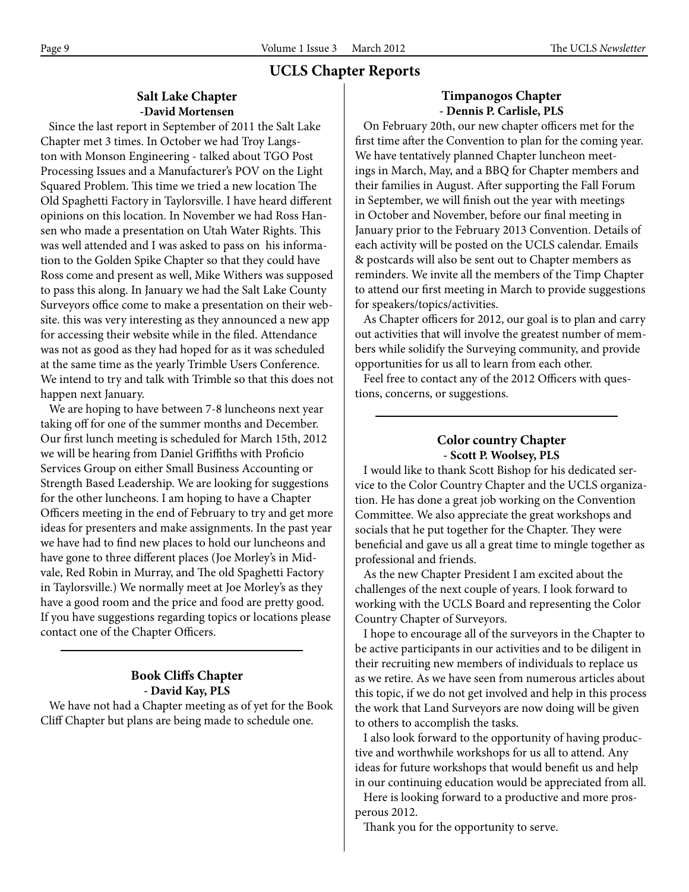# **UCLS Chapter Reports**

### **Salt Lake Chapter -David Mortensen**

 Since the last report in September of 2011 the Salt Lake Chapter met 3 times. In October we had Troy Langston with Monson Engineering - talked about TGO Post Processing Issues and a Manufacturer's POV on the Light Squared Problem. This time we tried a new location The Old Spaghetti Factory in Taylorsville. I have heard different opinions on this location. In November we had Ross Hansen who made a presentation on Utah Water Rights. This was well attended and I was asked to pass on his information to the Golden Spike Chapter so that they could have Ross come and present as well, Mike Withers was supposed to pass this along. In January we had the Salt Lake County Surveyors office come to make a presentation on their website. this was very interesting as they announced a new app for accessing their website while in the filed. Attendance was not as good as they had hoped for as it was scheduled at the same time as the yearly Trimble Users Conference. We intend to try and talk with Trimble so that this does not happen next January.

 We are hoping to have between 7-8 luncheons next year taking off for one of the summer months and December. Our first lunch meeting is scheduled for March 15th, 2012 we will be hearing from Daniel Griffiths with Proficio Services Group on either Small Business Accounting or Strength Based Leadership. We are looking for suggestions for the other luncheons. I am hoping to have a Chapter Officers meeting in the end of February to try and get more ideas for presenters and make assignments. In the past year we have had to find new places to hold our luncheons and have gone to three different places (Joe Morley's in Midvale, Red Robin in Murray, and The old Spaghetti Factory in Taylorsville.) We normally meet at Joe Morley's as they have a good room and the price and food are pretty good. If you have suggestions regarding topics or locations please contact one of the Chapter Officers.

# **Book Cliffs Chapter - David Kay, PLS**

 We have not had a Chapter meeting as of yet for the Book Cliff Chapter but plans are being made to schedule one.

### **Timpanogos Chapter - Dennis P. Carlisle, PLS**

 On February 20th, our new chapter officers met for the first time after the Convention to plan for the coming year. We have tentatively planned Chapter luncheon meetings in March, May, and a BBQ for Chapter members and their families in August. After supporting the Fall Forum in September, we will finish out the year with meetings in October and November, before our final meeting in January prior to the February 2013 Convention. Details of each activity will be posted on the UCLS calendar. Emails & postcards will also be sent out to Chapter members as reminders. We invite all the members of the Timp Chapter to attend our first meeting in March to provide suggestions for speakers/topics/activities.

 As Chapter officers for 2012, our goal is to plan and carry out activities that will involve the greatest number of members while solidify the Surveying community, and provide opportunities for us all to learn from each other.

 Feel free to contact any of the 2012 Officers with questions, concerns, or suggestions.

### **Color country Chapter - Scott P. Woolsey, PLS**

 I would like to thank Scott Bishop for his dedicated service to the Color Country Chapter and the UCLS organization. He has done a great job working on the Convention Committee. We also appreciate the great workshops and socials that he put together for the Chapter. They were beneficial and gave us all a great time to mingle together as professional and friends.

 As the new Chapter President I am excited about the challenges of the next couple of years. I look forward to working with the UCLS Board and representing the Color Country Chapter of Surveyors.

 I hope to encourage all of the surveyors in the Chapter to be active participants in our activities and to be diligent in their recruiting new members of individuals to replace us as we retire. As we have seen from numerous articles about this topic, if we do not get involved and help in this process the work that Land Surveyors are now doing will be given to others to accomplish the tasks.

 I also look forward to the opportunity of having productive and worthwhile workshops for us all to attend. Any ideas for future workshops that would benefit us and help in our continuing education would be appreciated from all.

 Here is looking forward to a productive and more prosperous 2012.

Thank you for the opportunity to serve.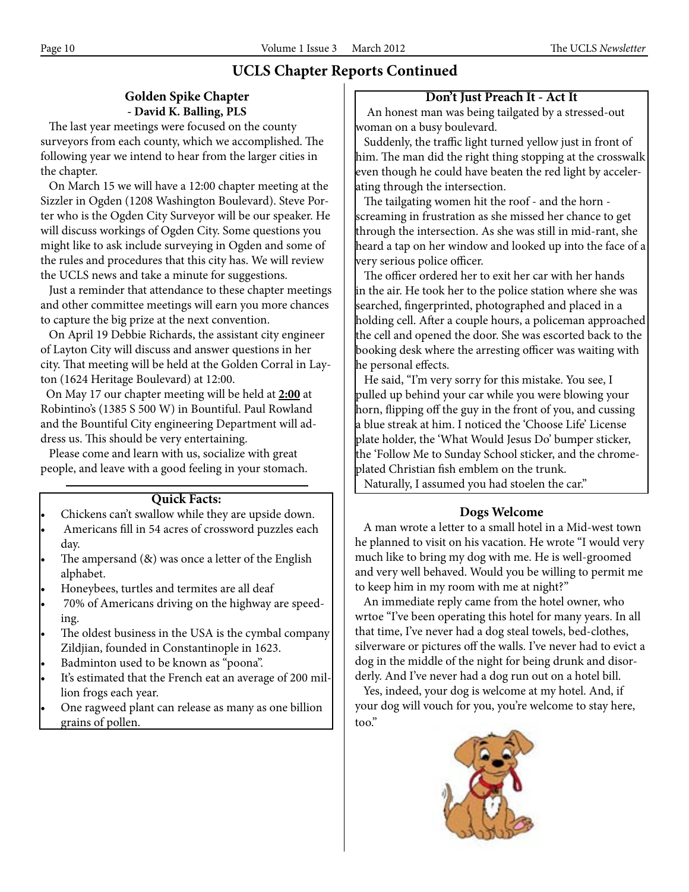# **UCLS Chapter Reports Continued**

# **Golden Spike Chapter - David K. Balling, PLS**

 The last year meetings were focused on the county surveyors from each county, which we accomplished. The following year we intend to hear from the larger cities in the chapter.

 On March 15 we will have a 12:00 chapter meeting at the Sizzler in Ogden (1208 Washington Boulevard). Steve Porter who is the Ogden City Surveyor will be our speaker. He will discuss workings of Ogden City. Some questions you might like to ask include surveying in Ogden and some of the rules and procedures that this city has. We will review the UCLS news and take a minute for suggestions.

 Just a reminder that attendance to these chapter meetings and other committee meetings will earn you more chances to capture the big prize at the next convention.

 On April 19 Debbie Richards, the assistant city engineer of Layton City will discuss and answer questions in her city. That meeting will be held at the Golden Corral in Layton (1624 Heritage Boulevard) at 12:00.

 On May 17 our chapter meeting will be held at **2:00** at Robintino's (1385 S 500 W) in Bountiful. Paul Rowland and the Bountiful City engineering Department will address us. This should be very entertaining.

 Please come and learn with us, socialize with great people, and leave with a good feeling in your stomach.

# **Quick Facts:**

- Chickens can't swallow while they are upside down.
- Americans fill in 54 acres of crossword puzzles each day.
- The ampersand  $(8)$  was once a letter of the English alphabet.
- Honeybees, turtles and termites are all deaf
- 70% of Americans driving on the highway are speeding.
- The oldest business in the USA is the cymbal company Zildjian, founded in Constantinople in 1623.
- Badminton used to be known as "poona".
- It's estimated that the French eat an average of 200 million frogs each year.
- One ragweed plant can release as many as one billion grains of pollen.

## **Don't Just Preach It - Act It**

 An honest man was being tailgated by a stressed-out woman on a busy boulevard.

 Suddenly, the traffic light turned yellow just in front of him. The man did the right thing stopping at the crosswalk even though he could have beaten the red light by accelerating through the intersection.

 The tailgating women hit the roof - and the horn screaming in frustration as she missed her chance to get through the intersection. As she was still in mid-rant, she heard a tap on her window and looked up into the face of a very serious police officer.

 The officer ordered her to exit her car with her hands in the air. He took her to the police station where she was searched, fingerprinted, photographed and placed in a holding cell. After a couple hours, a policeman approached the cell and opened the door. She was escorted back to the booking desk where the arresting officer was waiting with he personal effects.

 He said, "I'm very sorry for this mistake. You see, I pulled up behind your car while you were blowing your horn, flipping off the guy in the front of you, and cussing a blue streak at him. I noticed the 'Choose Life' License plate holder, the 'What Would Jesus Do' bumper sticker, the 'Follow Me to Sunday School sticker, and the chromeplated Christian fish emblem on the trunk.

Naturally, I assumed you had stoelen the car."

# **Dogs Welcome**

 A man wrote a letter to a small hotel in a Mid-west town he planned to visit on his vacation. He wrote "I would very much like to bring my dog with me. He is well-groomed and very well behaved. Would you be willing to permit me to keep him in my room with me at night?"

 An immediate reply came from the hotel owner, who wrtoe "I've been operating this hotel for many years. In all that time, I've never had a dog steal towels, bed-clothes, silverware or pictures off the walls. I've never had to evict a dog in the middle of the night for being drunk and disorderly. And I've never had a dog run out on a hotel bill.

 Yes, indeed, your dog is welcome at my hotel. And, if your dog will vouch for you, you're welcome to stay here, too."

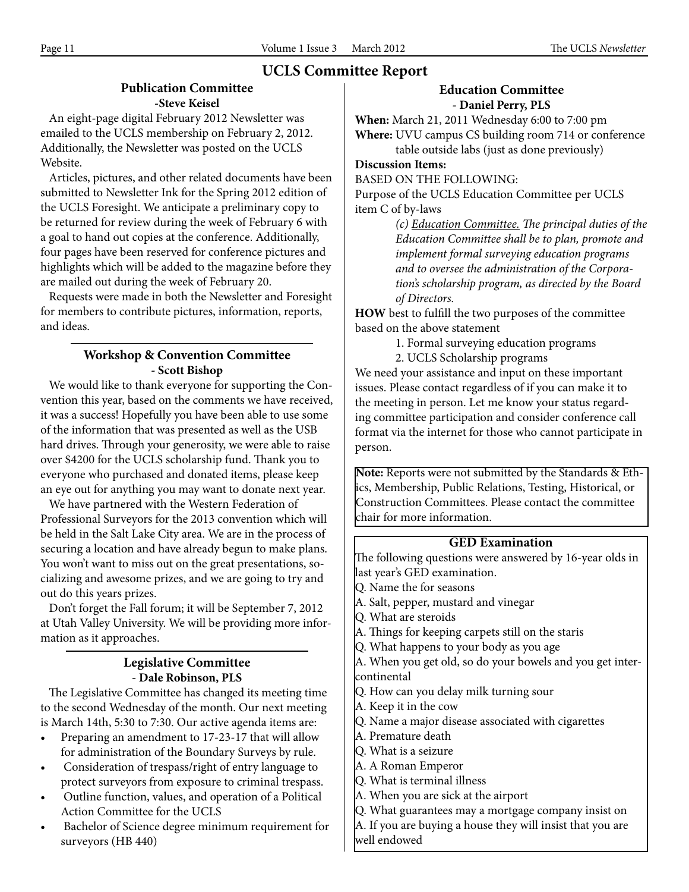# **UCLS Committee Report**

### **Publication Committee -Steve Keisel**

 An eight-page digital February 2012 Newsletter was emailed to the UCLS membership on February 2, 2012. Additionally, the Newsletter was posted on the UCLS Website.

 Articles, pictures, and other related documents have been submitted to Newsletter Ink for the Spring 2012 edition of the UCLS Foresight. We anticipate a preliminary copy to be returned for review during the week of February 6 with a goal to hand out copies at the conference. Additionally, four pages have been reserved for conference pictures and highlights which will be added to the magazine before they are mailed out during the week of February 20.

 Requests were made in both the Newsletter and Foresight for members to contribute pictures, information, reports, and ideas.

### **Workshop & Convention Committee - Scott Bishop**

 We would like to thank everyone for supporting the Convention this year, based on the comments we have received, it was a success! Hopefully you have been able to use some of the information that was presented as well as the USB hard drives. Through your generosity, we were able to raise over \$4200 for the UCLS scholarship fund. Thank you to everyone who purchased and donated items, please keep an eye out for anything you may want to donate next year.

 We have partnered with the Western Federation of Professional Surveyors for the 2013 convention which will be held in the Salt Lake City area. We are in the process of securing a location and have already begun to make plans. You won't want to miss out on the great presentations, socializing and awesome prizes, and we are going to try and out do this years prizes.

 Don't forget the Fall forum; it will be September 7, 2012 at Utah Valley University. We will be providing more information as it approaches.

### **Legislative Committee - Dale Robinson, PLS**

 The Legislative Committee has changed its meeting time to the second Wednesday of the month. Our next meeting is March 14th, 5:30 to 7:30. Our active agenda items are:

- • Preparing an amendment to 17-23-17 that will allow for administration of the Boundary Surveys by rule.
- Consideration of trespass/right of entry language to protect surveyors from exposure to criminal trespass.
- Outline function, values, and operation of a Political Action Committee for the UCLS
- Bachelor of Science degree minimum requirement for surveyors (HB 440)

## **Education Committee - Daniel Perry, PLS**

**When:** March 21, 2011 Wednesday 6:00 to 7:00 pm **Where:** UVU campus CS building room 714 or conference table outside labs (just as done previously)

**Discussion Items:**

BASED ON THE FOLLOWING:

Purpose of the UCLS Education Committee per UCLS item C of by-laws

> *(c) Education Committee. The principal duties of the Education Committee shall be to plan, promote and implement formal surveying education programs and to oversee the administration of the Corporation's scholarship program, as directed by the Board of Directors.*

**HOW** best to fulfill the two purposes of the committee based on the above statement

1. Formal surveying education programs

2. UCLS Scholarship programs

We need your assistance and input on these important issues. Please contact regardless of if you can make it to the meeting in person. Let me know your status regarding committee participation and consider conference call format via the internet for those who cannot participate in person.

**Note:** Reports were not submitted by the Standards & Ethics, Membership, Public Relations, Testing, Historical, or Construction Committees. Please contact the committee chair for more information.

# **GED Examination**

The following questions were answered by 16-year olds in last year's GED examination.

Q. Name the for seasons

- A. Salt, pepper, mustard and vinegar
- Q. What are steroids
- A. Things for keeping carpets still on the staris
- Q. What happens to your body as you age

A. When you get old, so do your bowels and you get intercontinental

Q. How can you delay milk turning sour

A. Keep it in the cow

- Q. Name a major disease associated with cigarettes
- A. Premature death
- Q. What is a seizure
- A. A Roman Emperor
- Q. What is terminal illness
- A. When you are sick at the airport

Q. What guarantees may a mortgage company insist on

A. If you are buying a house they will insist that you are well endowed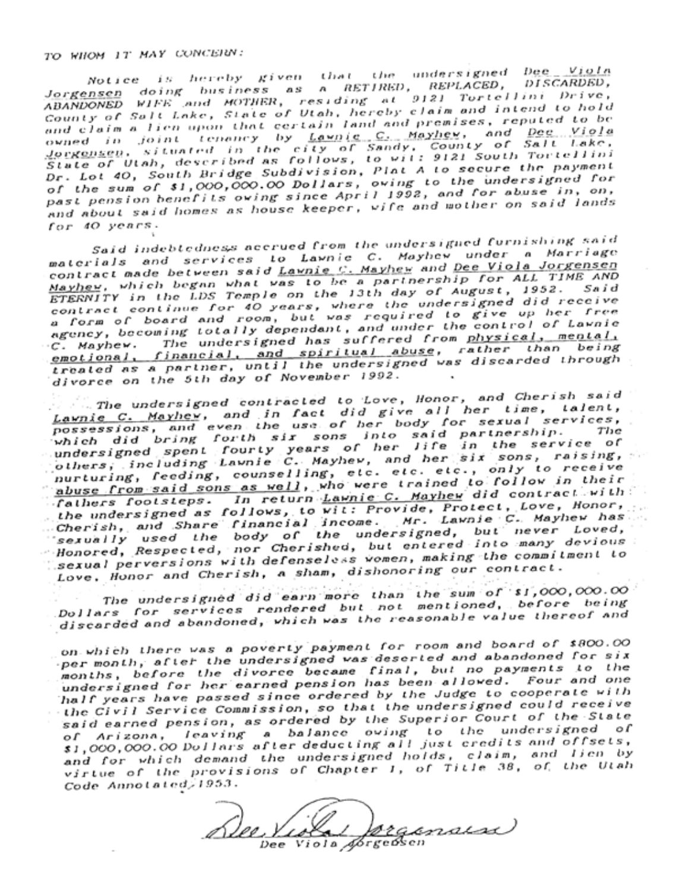TO WHOM IT MAY CONCERN:

Notice is hereby given that the undersigned Dee Viola<br>Jorgensen doing business as a RETIRED, REPLACED, DISCARDED, ABANDONED WIFE and MOTHER, residing at 9121 Tortellini Drive,<br>County of Salt Lake, State of Utah, hereby claim and intend to hold<br>and claim a lien upon that certain land and premises, reputed to be owned in joint tenancy by <u>Lawnie C. Mayhew</u>, and Dee Viola<br>Jorgensen, situated in the city of Sandy, County of Salt Lake,<br>State of Utah, described as follows, to wil: 9121 South Tortellini Dr. Lot 40, South Bridge Subdivision, Plat A to secure the payment of the sum of \$1,000,000.00 Dollars, owing to the undersigned for<br>past pension benefits owing since April 1992, and for abuse in, on, and about said homes as house keeper, wife and mother on said lands for 40 years.

Said indebtedness accrued from the undersigned furnishing said materials and services to Lawnie C. Mayhew under a Marriage contract made between said Lawnie C. Mayhew and Dee Viola Jorgensen Mayhey, which began what was to be a partnership for ALL TIME AND ETERNITY in the LDS Temple on the 13th day of August, 1952. Said<br>contract continue for 40 years, where the undersigned did receive a form of board and room, but was required to give up her free<br>agency, becoming totally dependant, and under the control of Lawnie C. Mayhew. The undersigned has suffered from physical, mental, emotional, financial, and spiritual abuse, rather than being treated as a partner, until the undersigned was discarded through divorce on the 5th day of November 1992.

. The undersigned contracted to Love, Honor, and Cherish said Lawnie C. Mayhev, and in fact did give all her time, talent, possessions, and even the use of her body for sexual services, possessions, and eventure use of ner body for sexual services,<br>which did bring forth six sons into said partnership. The<br>undersigned spent fourty years of her life in the service of<br>others, including Lawnie C. Mayhev, and nurturing, feeding, counselling, etc. etc. etc., only to receive<br>abuse from said sons as well, who were trained to follow in their fathers footsteps. In return Lawnie C. Mayhew did contract with the undersigned as follows, to wit: Provide, Protect, Love, Honor,<br>Cherish, and Share financial income. Mr. Lawnie C. Mayhew has<br>sexually used the body of the undersigned, but never Loved, Honored, Respected, nor Cherished, but entered into many devious: sexual perversions with defenseless women, making the commitment to Love, Honor and Cherish, a sham, dishonoring our contract.

The undersigned did earn more than the sum of si,000,000.00<br>Dollars for services rendered but not mentioned, before being discarded and abandoned, which was the reasonable value thereof and

on which there was a poverty payment for room and board of \$800.00 per month, after the undersigned was descried and abandoned for six months, before the divorce became final, but no payments to the<br>undersigned for her earned pension has been allowed. Four and one half years have passed since ordered by the Judge to cooperate with the Civil Service Commission, so that the undersigned could receive said earned pension, as ordered by the Superior Court of the State of Arizona, leaving a balance owing to the undersigned of<br>\$1,000,000.00 Dollars after deducting all just credits and offsets, and for which demand the undersigned holds, claim, and lien by<br>virtue of the provisions of Chapter 1, of Title 38, of the Utah Code Annotated, 1953.

regimala Viola Aforgebsen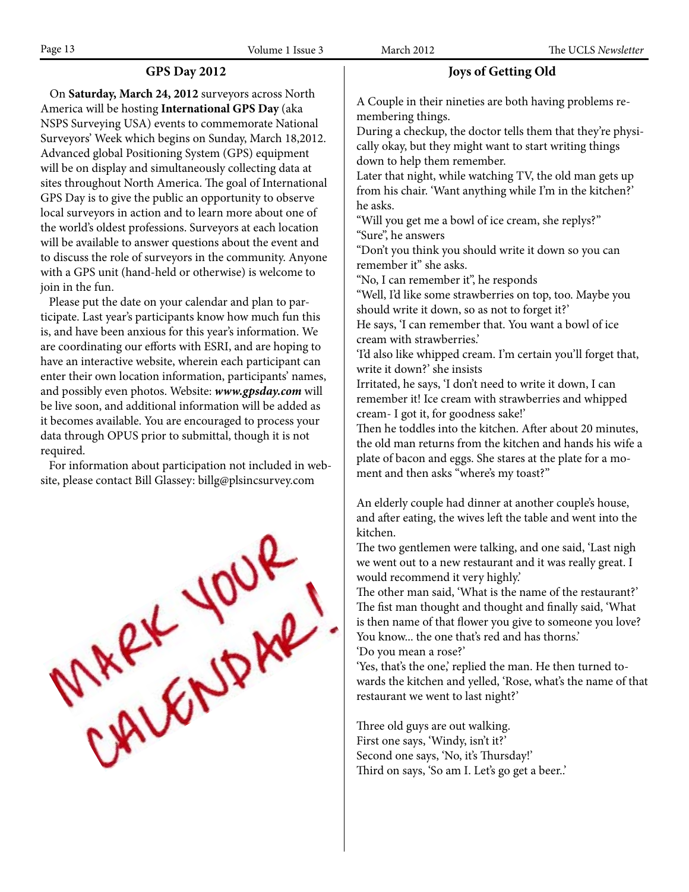### **GPS Day 2012**

 On **Saturday, March 24, 2012** surveyors across North America will be hosting **International GPS Day** (aka NSPS Surveying USA) events to commemorate National Surveyors' Week which begins on Sunday, March 18,2012. Advanced global Positioning System (GPS) equipment will be on display and simultaneously collecting data at sites throughout North America. The goal of International GPS Day is to give the public an opportunity to observe local surveyors in action and to learn more about one of the world's oldest professions. Surveyors at each location will be available to answer questions about the event and to discuss the role of surveyors in the community. Anyone with a GPS unit (hand-held or otherwise) is welcome to join in the fun.

 Please put the date on your calendar and plan to participate. Last year's participants know how much fun this is, and have been anxious for this year's information. We are coordinating our efforts with ESRI, and are hoping to have an interactive website, wherein each participant can enter their own location information, participants' names, and possibly even photos. Website: *www.gpsday.com* will be live soon, and additional information will be added as it becomes available. You are encouraged to process your data through OPUS prior to submittal, though it is not required.

 For information about participation not included in website, please contact Bill Glassey: billg@plsincsurvey.com



### **Joys of Getting Old**

A Couple in their nineties are both having problems remembering things.

During a checkup, the doctor tells them that they're physically okay, but they might want to start writing things down to help them remember.

Later that night, while watching TV, the old man gets up from his chair. 'Want anything while I'm in the kitchen?' he asks.

"Will you get me a bowl of ice cream, she replys?" "Sure", he answers

"Don't you think you should write it down so you can remember it" she asks.

"No, I can remember it", he responds

"Well, I'd like some strawberries on top, too. Maybe you should write it down, so as not to forget it?'

He says, 'I can remember that. You want a bowl of ice cream with strawberries.'

'I'd also like whipped cream. I'm certain you'll forget that, write it down?' she insists

Irritated, he says, 'I don't need to write it down, I can remember it! Ice cream with strawberries and whipped cream- I got it, for goodness sake!'

Then he toddles into the kitchen. After about 20 minutes, the old man returns from the kitchen and hands his wife a plate of bacon and eggs. She stares at the plate for a moment and then asks "where's my toast?"

An elderly couple had dinner at another couple's house, and after eating, the wives left the table and went into the kitchen.

The two gentlemen were talking, and one said, 'Last nigh we went out to a new restaurant and it was really great. I would recommend it very highly.'

The other man said, 'What is the name of the restaurant?' The fist man thought and thought and finally said, 'What is then name of that flower you give to someone you love? You know... the one that's red and has thorns.'

'Do you mean a rose?'

'Yes, that's the one,' replied the man. He then turned towards the kitchen and yelled, 'Rose, what's the name of that restaurant we went to last night?'

Three old guys are out walking. First one says, 'Windy, isn't it?' Second one says, 'No, it's Thursday!' Third on says, 'So am I. Let's go get a beer..'